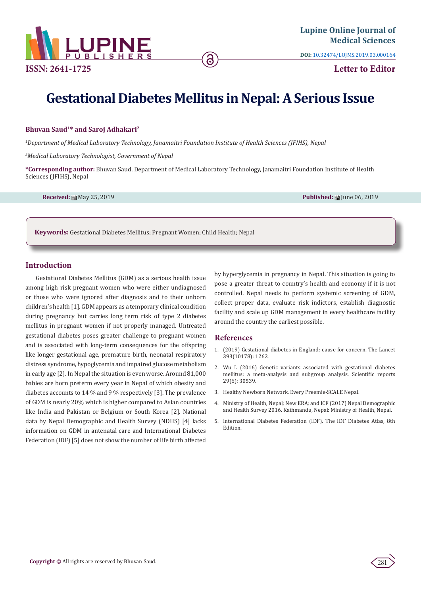

**ISSN: 2641-1725**

**DOI:** [10.32474/LOJMS.2019.03.000164](http://dx.doi.org/10.32474/LOJMS.2019.03.000164)

**Letter to Editor**

# **Gestational Diabetes Mellitus in Nepal: A Serious Issue**

ခ

### **Bhuvan Saud1\* and Saroj Adhakari2**

*1 Department of Medical Laboratory Technology, Janamaitri Foundation Institute of Health Sciences (JFIHS), Nepal*

*2 Medical Laboratory Technologist, Government of Nepal*

**\*Corresponding author:** Bhuvan Saud, Department of Medical Laboratory Technology, Janamaitri Foundation Institute of Health Sciences (JFIHS), Nepal

**Received:** ■ May 25, 2019 **Published:** ■ May 25, 2019 **Published:** ■ June 06, 2019

**Keywords:** Gestational Diabetes Mellitus; Pregnant Women; Child Health; Nepal

## **Introduction**

Gestational Diabetes Mellitus (GDM) as a serious health issue among high risk pregnant women who were either undiagnosed or those who were ignored after diagnosis and to their unborn children's health [1]. GDM appears as a temporary clinical condition during pregnancy but carries long term risk of type 2 diabetes mellitus in pregnant women if not properly managed. Untreated gestational diabetes poses greater challenge to pregnant women and is associated with long-term consequences for the offspring like longer gestational age, premature birth, neonatal respiratory distress syndrome, hypoglycemia and impaired glucose metabolism in early age [2]. In Nepal the situation is even worse. Around 81,000 babies are born preterm every year in Nepal of which obesity and diabetes accounts to 14 % and 9 % respectively [3]. The prevalence of GDM is nearly 20% which is higher compared to Asian countries like India and Pakistan or Belgium or South Korea [2]. National data by Nepal Demographic and Health Survey (NDHS) [4] lacks information on GDM in antenatal care and International Diabetes Federation (IDF) [5] does not show the number of life birth affected

by hyperglycemia in pregnancy in Nepal. This situation is going to pose a greater threat to country's health and economy if it is not controlled. Nepal needs to perform systemic screening of GDM, collect proper data, evaluate risk indictors, establish diagnostic facility and scale up GDM management in every healthcare facility around the country the earliest possible.

## **References**

- 1. [\(2019\) Gestational diabetes in England: cause for concern. The Lancet](https://www.thelancet.com/journals/lancet/article/PIIS0140-6736(19)30741-X/fulltext) [393\(10178\): 1262.](https://www.thelancet.com/journals/lancet/article/PIIS0140-6736(19)30741-X/fulltext)
- 2. [Wu L \(2016\) Genetic variants associated with gestational diabetes](https://www.ncbi.nlm.nih.gov/pubmed/27468700) [mellitus: a meta-analysis and subgroup analysis. Scientific reports](https://www.ncbi.nlm.nih.gov/pubmed/27468700) [29\(6\): 30539.](https://www.ncbi.nlm.nih.gov/pubmed/27468700)
- 3. [Healthy Newborn Network. Every Preemie-SCALE Nepal.](https://www.healthynewbornnetwork.org/hnn-content/uploads/Nepal-1.pdf)
- 4. [Ministry of Health, Nepal; New ERA; and ICF \(2017\) Nepal Demographic](https://nepal.unfpa.org/sites/default/files/pub-pdf/NDHS%202016%20key%20findings.pdf) [and Health Survey 2016. Kathmandu, Nepal: Ministry of Health, Nepal.](https://nepal.unfpa.org/sites/default/files/pub-pdf/NDHS%202016%20key%20findings.pdf)
- 5. [International Diabetes Federation \(IDF\). The IDF Diabetes Atlas, 8th](https://reports.instantatlas.com/report/view/704ee0e6475b4af885051bcec15f0e2c/NPL) [Edition.](https://reports.instantatlas.com/report/view/704ee0e6475b4af885051bcec15f0e2c/NPL)